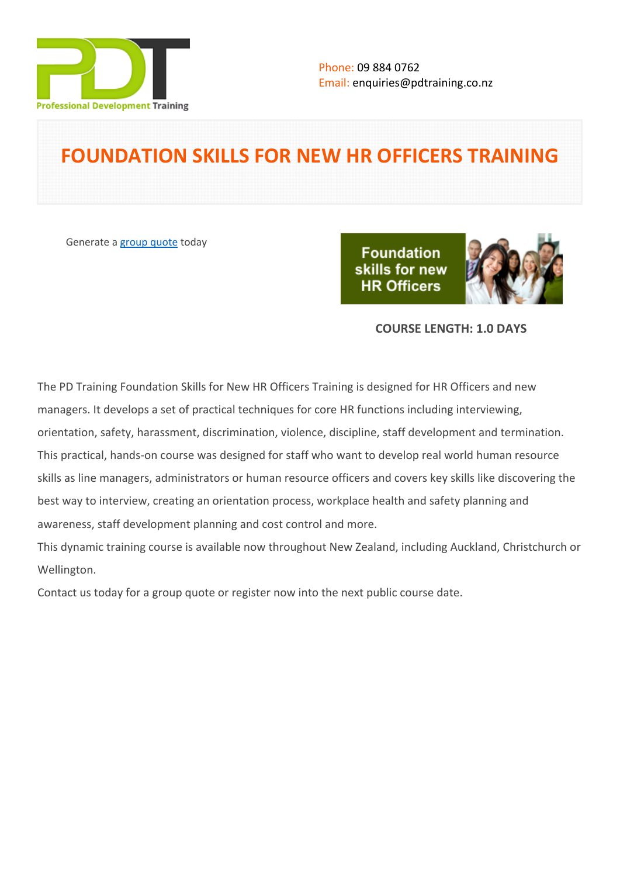

# **FOUNDATION SKILLS FOR NEW HR OFFICERS TRAINING**

Generate a [group quote](https://pdtraining.co.nz/inhouse-training-quote?cse=PDT035) today

**Foundation** skills for new **HR Officers** 



## **COURSE LENGTH: 1.0 DAYS**

The PD Training Foundation Skills for New HR Officers Training is designed for HR Officers and new managers. It develops a set of practical techniques for core HR functions including interviewing, orientation, safety, harassment, discrimination, violence, discipline, staff development and termination. This practical, hands-on course was designed for staff who want to develop real world human resource skills as line managers, administrators or human resource officers and covers key skills like discovering the best way to interview, creating an orientation process, workplace health and safety planning and awareness, staff development planning and cost control and more.

This dynamic training course is available now throughout New Zealand, including Auckland, Christchurch or Wellington.

Contact us today for a [group quote](https://pdtraining.co.nz/bookings/inhouseex1/quoterequestex1a.aspx) or register now into the next [public course date](https://pdtraining.co.nz/bookings/publicclassbooking.aspx).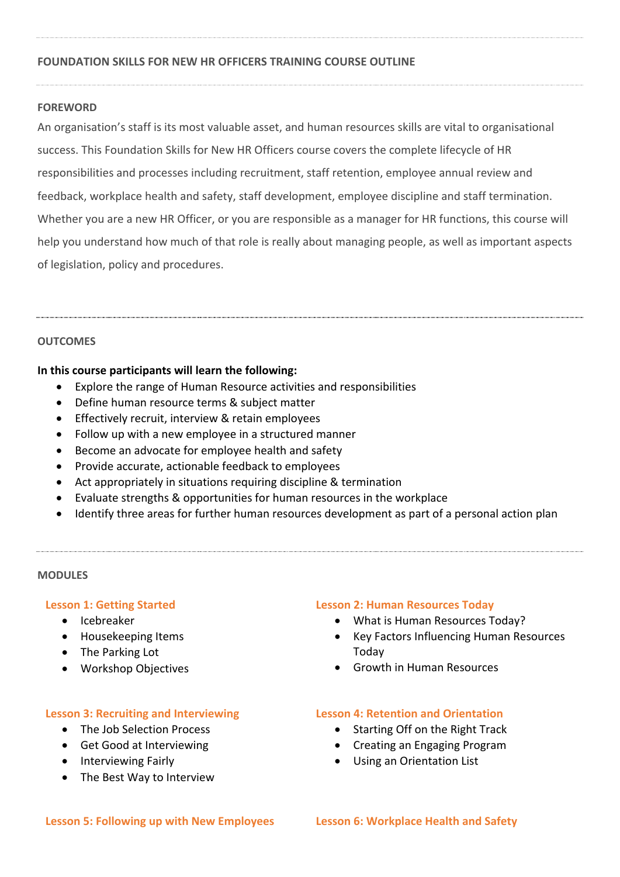#### **FOUNDATION SKILLS FOR NEW HR OFFICERS TRAINING COURSE OUTLINE**

#### **FOREWORD**

An organisation's staff is its most valuable asset, and human resources skills are vital to organisational success. This Foundation Skills for New HR Officers course covers the complete lifecycle of HR responsibilities and processes including recruitment, staff retention, employee annual review and feedback, workplace health and safety, staff development, employee discipline and staff termination. Whether you are a new HR Officer, or you are responsible as a manager for HR functions, this course will help you understand how much of that role is really about managing people, as well as important aspects of legislation, policy and procedures.

#### **OUTCOMES**

#### **In this course participants will learn the following:**

- Explore the range of Human Resource activities and responsibilities
- Define human resource terms & subject matter
- **Effectively recruit, interview & retain employees**
- Follow up with a new employee in a structured manner
- Become an advocate for employee health and safety
- Provide accurate, actionable feedback to employees
- Act appropriately in situations requiring discipline & termination
- Evaluate strengths & opportunities for human resources in the workplace
- Identify three areas for further human resources development as part of a personal action plan

#### **MODULES**

#### **Lesson 1: Getting Started**

- Icebreaker
- Housekeeping Items
- The Parking Lot
- Workshop Objectives

### **Lesson 3: Recruiting and Interviewing**

- The Job Selection Process
- Get Good at Interviewing
- Interviewing Fairly
- The Best Way to Interview

#### **Lesson 2: Human Resources Today**

- What is Human Resources Today?
- Key Factors Influencing Human Resources Today
- Growth in Human Resources

#### **Lesson 4: Retention and Orientation**

- Starting Off on the Right Track
- Creating an Engaging Program
- Using an Orientation List

#### **Lesson 5: Following up with New Employees Lesson 6: Workplace Health and Safety**